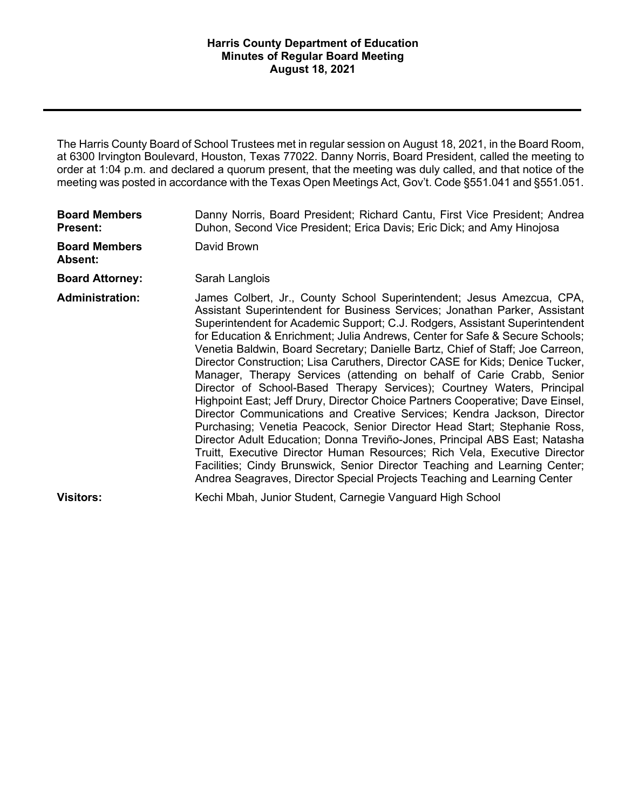at 6300 Irvington Boulevard, Houston, Texas 77022. Danny Norris, Board President, called the meeting to order at 1:04 p.m. and declared a quorum present, that the meeting was duly called, and that notice of the meeting was posted in accordance with the Texas Open Meetings Act, Gov't. Code §551.041 and §551.051. The Harris County Board of School Trustees met in regular session on August 18, 2021, in the Board Room,

| <b>Board Members</b><br><b>Present:</b> | Danny Norris, Board President; Richard Cantu, First Vice President; Andrea<br>Duhon, Second Vice President; Erica Davis; Eric Dick; and Amy Hinojosa                                                                                                                                                                                                                                                                                                                                                                                                                                                                                                                                                                                                                                                                                                                                                                                                                                                                                                                                                                                                                                                   |
|-----------------------------------------|--------------------------------------------------------------------------------------------------------------------------------------------------------------------------------------------------------------------------------------------------------------------------------------------------------------------------------------------------------------------------------------------------------------------------------------------------------------------------------------------------------------------------------------------------------------------------------------------------------------------------------------------------------------------------------------------------------------------------------------------------------------------------------------------------------------------------------------------------------------------------------------------------------------------------------------------------------------------------------------------------------------------------------------------------------------------------------------------------------------------------------------------------------------------------------------------------------|
| <b>Board Members</b><br><b>Absent:</b>  | David Brown                                                                                                                                                                                                                                                                                                                                                                                                                                                                                                                                                                                                                                                                                                                                                                                                                                                                                                                                                                                                                                                                                                                                                                                            |
| <b>Board Attorney:</b>                  | Sarah Langlois                                                                                                                                                                                                                                                                                                                                                                                                                                                                                                                                                                                                                                                                                                                                                                                                                                                                                                                                                                                                                                                                                                                                                                                         |
| <b>Administration:</b>                  | James Colbert, Jr., County School Superintendent; Jesus Amezcua, CPA,<br>Assistant Superintendent for Business Services; Jonathan Parker, Assistant<br>Superintendent for Academic Support; C.J. Rodgers, Assistant Superintendent<br>for Education & Enrichment; Julia Andrews, Center for Safe & Secure Schools;<br>Venetia Baldwin, Board Secretary; Danielle Bartz, Chief of Staff; Joe Carreon,<br>Director Construction; Lisa Caruthers, Director CASE for Kids; Denice Tucker,<br>Manager, Therapy Services (attending on behalf of Carie Crabb, Senior<br>Director of School-Based Therapy Services); Courtney Waters, Principal<br>Highpoint East; Jeff Drury, Director Choice Partners Cooperative; Dave Einsel,<br>Director Communications and Creative Services; Kendra Jackson, Director<br>Purchasing; Venetia Peacock, Senior Director Head Start; Stephanie Ross,<br>Director Adult Education; Donna Treviño-Jones, Principal ABS East; Natasha<br>Truitt, Executive Director Human Resources; Rich Vela, Executive Director<br>Facilities; Cindy Brunswick, Senior Director Teaching and Learning Center;<br>Andrea Seagraves, Director Special Projects Teaching and Learning Center |
| <b>Visitors:</b>                        | Kechi Mbah, Junior Student, Carnegie Vanguard High School                                                                                                                                                                                                                                                                                                                                                                                                                                                                                                                                                                                                                                                                                                                                                                                                                                                                                                                                                                                                                                                                                                                                              |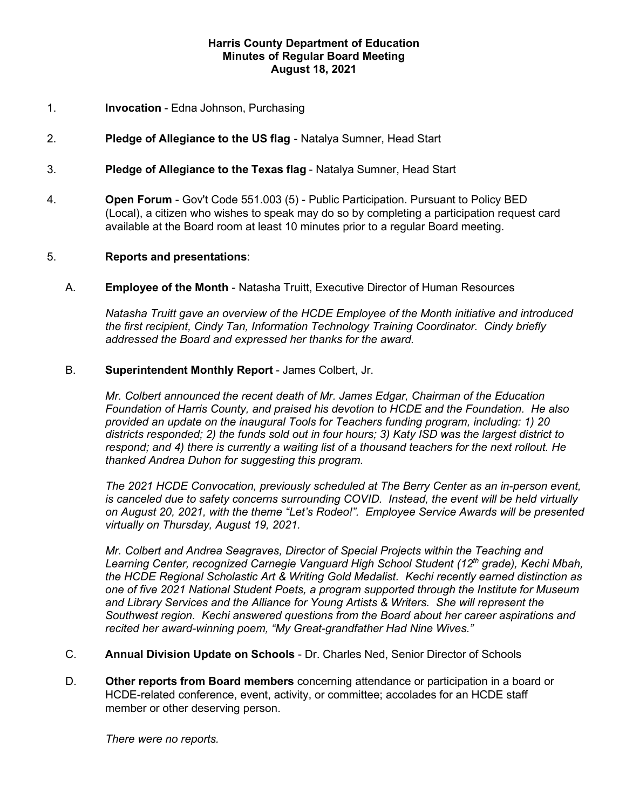# 1. **Invocation** - Edna Johnson, Purchasing

- 2. **Pledge of Allegiance to the US flag**  Natalya Sumner, Head Start
- 3. **Pledge of Allegiance to the Texas flag**  Natalya Sumner, Head Start
- available at the Board room at least 10 minutes prior to a regular Board meeting. 4. **Open Forum** - Gov't Code 551.003 (5) - Public Participation. Pursuant to Policy BED (Local), a citizen who wishes to speak may do so by completing a participation request card

## 5. **Reports and presentations**:

 A. **Employee of the Month** - Natasha Truitt, Executive Director of Human Resources

 *Natasha Truitt gave an overview of the HCDE Employee of the Month initiative and introduced the first recipient, Cindy Tan, Information Technology Training Coordinator. Cindy briefly addressed the Board and expressed her thanks for the award.* 

# B. **Superintendent Monthly Report** - James Colbert, Jr.

 *Foundation of Harris County, and praised his devotion to HCDE and the Foundation. He also districts responded; 2) the funds sold out in four hours; 3) Katy ISD was the largest district to respond; and 4) there is currently a waiting list of a thousand teachers for the next rollout. He Mr. Colbert announced the recent death of Mr. James Edgar, Chairman of the Education provided an update on the inaugural Tools for Teachers funding program, including: 1) 20 thanked Andrea Duhon for suggesting this program.* 

 *is canceled due to safety concerns surrounding COVID. Instead, the event will be held virtually on August 20, 2021, with the theme "Let's Rodeo!". Employee Service Awards will be presented The 2021 HCDE Convocation, previously scheduled at The Berry Center as an in-person event, virtually on Thursday, August 19, 2021.* 

 *the HCDE Regional Scholastic Art & Writing Gold Medalist. Kechi recently earned distinction as and Library Services and the Alliance for Young Artists & Writers. She will represent the Southwest region. Kechi answered questions from the Board about her career aspirations and Mr. Colbert and Andrea Seagraves, Director of Special Projects within the Teaching and Learning Center, recognized Carnegie Vanguard High School Student (12th grade), Kechi Mbah, one of five 2021 National Student Poets, a program supported through the Institute for Museum recited her award-winning poem, "My Great-grandfather Had Nine Wives."* 

- C. **Annual Division Update on Schools**  Dr. Charles Ned, Senior Director of Schools
- member or other deserving person. D. **Other reports from Board members** concerning attendance or participation in a board or HCDE-related conference, event, activity, or committee; accolades for an HCDE staff

*There were no reports.*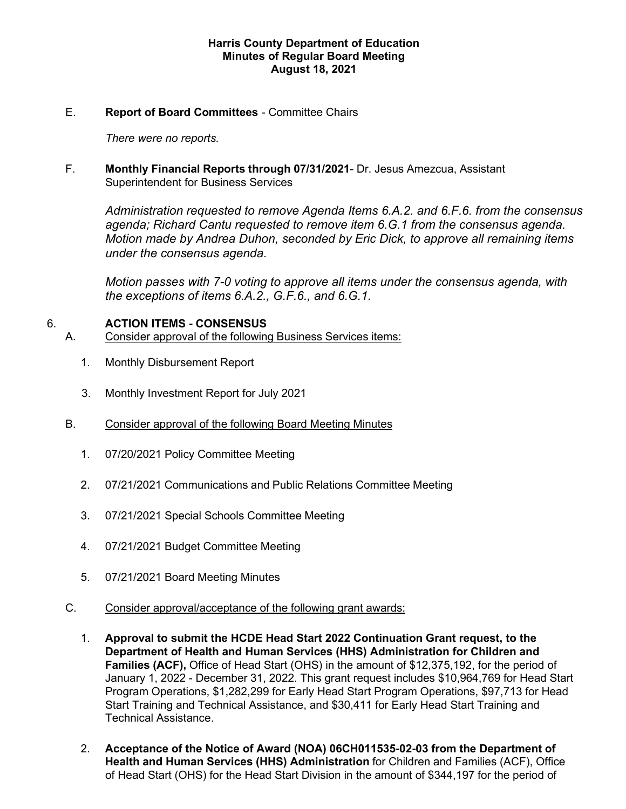# E. **Report of Board Committees** - Committee Chairs

*There were no reports.* 

 F. **Monthly Financial Reports through 07/31/2021**- Dr. Jesus Amezcua, Assistant Superintendent for Business Services

 *Administration requested to remove Agenda Items 6.A.2. and 6.F.6. from the consensus agenda; Richard Cantu requested to remove item 6.G.1 from the consensus agenda. Motion made by Andrea Duhon, seconded by Eric Dick, to approve all remaining items under the consensus agenda.* 

 *the exceptions of items 6.A.2., G.F.6., and 6.G.1. Motion passes with 7-0 voting to approve all items under the consensus agenda, with* 

# 6. **ACTION ITEMS - CONSENSUS**

- A. Consider approval of the following Business Services items:
	- 1. Monthly Disbursement Report
	- 3. Monthly Investment Report for July 2021
	- B. Consider approval of the following Board Meeting Minutes
		- 1. 07/20/2021 Policy Committee Meeting
		- 2. 07/21/2021 Communications and Public Relations Committee Meeting
		- 3. 07/21/2021 Special Schools Committee Meeting
		- 4. 07/21/2021 Budget Committee Meeting
		- 5. 07/21/2021 Board Meeting Minutes
	- C. Consider approval/acceptance of the following grant awards:
		- 1. **Approval to submit the HCDE Head Start 2022 Continuation Grant request, to the**  January 1, 2022 - December 31, 2022. This grant request includes \$10,964,769 for Head Start **Department of Health and Human Services (HHS) Administration for Children and Families (ACF),** Office of Head Start (OHS) in the amount of \$12,375,192, for the period of Program Operations, \$1,282,299 for Early Head Start Program Operations, \$97,713 for Head Start Training and Technical Assistance, and \$30,411 for Early Head Start Training and Technical Assistance.
		- **Health and Human Services (HHS) Administration** for Children and Families (ACF), Office of Head Start (OHS) for the Head Start Division in the amount of \$344,197 for the period of 2. **Acceptance of the Notice of Award (NOA) 06CH011535-02-03 from the Department of**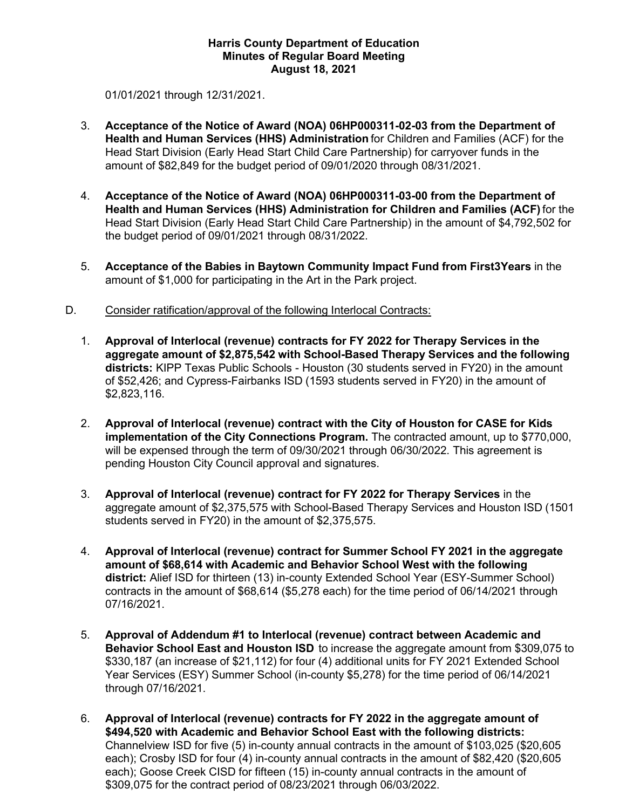01/01/2021 through 12/31/2021.

- **Health and Human Services (HHS) Administration** for Children and Families (ACF) for the amount of \$82,849 for the budget period of 09/01/2020 through 08/31/2021. 3. **Acceptance of the Notice of Award (NOA) 06HP000311-02-03 from the Department of**  Head Start Division (Early Head Start Child Care Partnership) for carryover funds in the
- **Health and Human Services (HHS) Administration for Children and Families (ACF)** for the the budget period of 09/01/2021 through 08/31/2022. 4. **Acceptance of the Notice of Award (NOA) 06HP000311-03-00 from the Department of**  Head Start Division (Early Head Start Child Care Partnership) in the amount of \$4,792,502 for
- 5. **Acceptance of the Babies in Baytown Community Impact Fund from First3Years** in the amount of \$1,000 for participating in the Art in the Park project.
- D. Consider ratification/approval of the following Interlocal Contracts:
	- **aggregate amount of \$2,875,542 with School-Based Therapy Services and the following**  of \$52,426; and Cypress-Fairbanks ISD (1593 students served in FY20) in the amount of 1. **Approval of Interlocal (revenue) contracts for FY 2022 for Therapy Services in the districts:** KIPP Texas Public Schools - Houston (30 students served in FY20) in the amount \$2,823,116.
	- 2. **Approval of Interlocal (revenue) contract with the City of Houston for CASE for Kids**  pending Houston City Council approval and signatures. **implementation of the City Connections Program.** The contracted amount, up to \$770,000, will be expensed through the term of 09/30/2021 through 06/30/2022. This agreement is
	- 3. **Approval of Interlocal (revenue) contract for FY 2022 for Therapy Services** in the aggregate amount of \$2,375,575 with School-Based Therapy Services and Houston ISD (1501 students served in FY20) in the amount of \$2,375,575.
	- 4. **Approval of Interlocal (revenue) contract for Summer School FY 2021 in the aggregate**  contracts in the amount of \$68,614 (\$5,278 each) for the time period of 06/14/2021 through **amount of \$68,614 with Academic and Behavior School West with the following district:** Alief ISD for thirteen (13) in-county Extended School Year (ESY-Summer School) 07/16/2021.
	- **Behavior School East and Houston ISD** to increase the aggregate amount from \$309,075 to \$330,187 (an increase of \$21,112) for four (4) additional units for FY 2021 Extended School Year Services (ESY) Summer School (in-county \$5,278) for the time period of 06/14/2021 5. **Approval of Addendum #1 to Interlocal (revenue) contract between Academic and**  through 07/16/2021.
	- 6. **Approval of Interlocal (revenue) contracts for FY 2022 in the aggregate amount of**  each); Crosby ISD for four (4) in-county annual contracts in the amount of \$82,420 (\$20,605 each); Goose Creek CISD for fifteen (15) in-county annual contracts in the amount of \$309,075 for the contract period of 08/23/2021 through 06/03/2022. **\$494,520 with Academic and Behavior School East with the following districts:**  Channelview ISD for five (5) in-county annual contracts in the amount of \$103,025 (\$20,605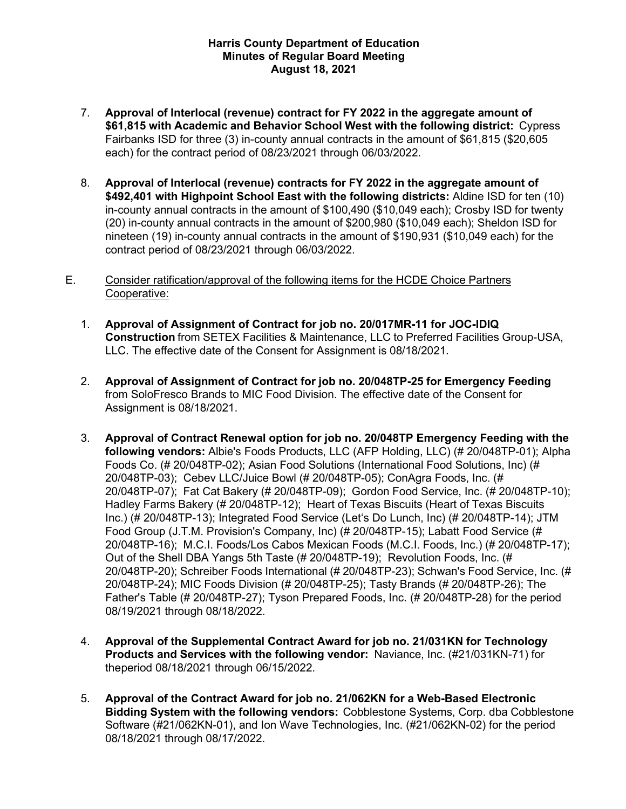- 7. **Approval of Interlocal (revenue) contract for FY 2022 in the aggregate amount of \$61,815 with Academic and Behavior School West with the following district:** Cypress Fairbanks ISD for three (3) in-county annual contracts in the amount of \$61,815 (\$20,605 each) for the contract period of 08/23/2021 through 06/03/2022.
- 8. **Approval of Interlocal (revenue) contracts for FY 2022 in the aggregate amount of \$492,401 with Highpoint School East with the following districts:** Aldine ISD for ten (10) in-county annual contracts in the amount of \$100,490 (\$10,049 each); Crosby ISD for twenty (20) in-county annual contracts in the amount of \$200,980 (\$10,049 each); Sheldon ISD for contract period of 08/23/2021 through 06/03/2022. nineteen (19) in-county annual contracts in the amount of \$190,931 (\$10,049 each) for the
- E. Consider ratification/approval of the following items for the HCDE Choice Partners Cooperative:
	- **Construction** from SETEX Facilities & Maintenance, LLC to Preferred Facilities Group-USA, LLC. The effective date of the Consent for Assignment is 08/18/2021. 1. **Approval of Assignment of Contract for job no. 20/017MR-11 for JOC-IDIQ**
	- 2. **Approval of Assignment of Contract for job no. 20/048TP-25 for Emergency Feeding**  Assignment is 08/18/2021. from SoloFresco Brands to MIC Food Division. The effective date of the Consent for
	- **following vendors:** Albie's Foods Products, LLC (AFP Holding, LLC) (# 20/048TP-01); Alpha Foods Co. (# 20/048TP-02); Asian Food Solutions (International Food Solutions, Inc) (# 20/048TP-03); Cebev LLC/Juice Bowl (# 20/048TP-05); ConAgra Foods, Inc. (# 20/048TP-07); Fat Cat Bakery (# 20/048TP-09); Gordon Food Service, Inc. (# 20/048TP-10); Hadley Farms Bakery (# 20/048TP-12); Heart of Texas Biscuits (Heart of Texas Biscuits Inc.) (# 20/048TP-13); Integrated Food Service (Let's Do Lunch, Inc) (# 20/048TP-14); JTM Food Group (J.T.M. Provision's Company, Inc) (# 20/048TP-15); Labatt Food Service (# 20/048TP-16); M.C.I. Foods/Los Cabos Mexican Foods (M.C.I. Foods, Inc.) (# 20/048TP-17); Out of the Shell DBA Yangs 5th Taste (# 20/048TP-19); Revolution Foods, Inc. (# 20/048TP-20); Schreiber Foods International (# 20/048TP-23); Schwan's Food Service, Inc. (# 20/048TP-24); MIC Foods Division (# 20/048TP-25); Tasty Brands (# 20/048TP-26); The 08/19/2021 through 08/18/2022. 3. **Approval of Contract Renewal option for job no. 20/048TP Emergency Feeding with the**  Father's Table (# 20/048TP-27); Tyson Prepared Foods, Inc. (# 20/048TP-28) for the period
	- **Products and Services with the following vendor:** Naviance, Inc. (#21/031KN-71) for theperiod 08/18/2021 through 06/15/2022. 4. **Approval of the Supplemental Contract Award for job no. 21/031KN for Technology**
	- **Bidding System with the following vendors:** Cobblestone Systems, Corp. dba Cobblestone 08/18/2021 through 08/17/2022. 5. **Approval of the Contract Award for job no. 21/062KN for a Web-Based Electronic**  Software (#21/062KN-01), and Ion Wave Technologies, Inc. (#21/062KN-02) for the period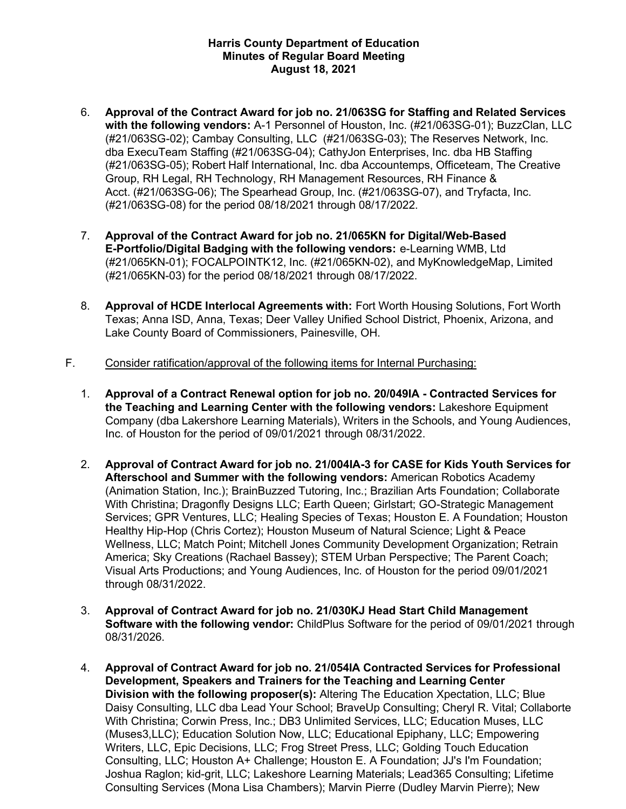- **with the following vendors:** A-1 Personnel of Houston, Inc. (#21/063SG-01); BuzzClan, LLC (#21/063SG-02); Cambay Consulting, LLC (#21/063SG-03); The Reserves Network, Inc. (#21/063SG-05); Robert Half International, Inc. dba Accountemps, Officeteam, The Creative Group, RH Legal, RH Technology, RH Management Resources, RH Finance & Acct. (#21/063SG-06); The Spearhead Group, Inc. (#21/063SG-07), and Tryfacta, Inc. (#21/063SG-08) for the period 08/18/2021 through 08/17/2022. 6. **Approval of the Contract Award for job no. 21/063SG for Staffing and Related Services**  dba ExecuTeam Staffing (#21/063SG-04); CathyJon Enterprises, Inc. dba HB Staffing
- **E-Portfolio/Digital Badging with the following vendors:** e-Learning WMB, Ltd (#21/065KN-01); FOCALPOINTK12, Inc. (#21/065KN-02), and MyKnowledgeMap, Limited (#21/065KN-03) for the period 08/18/2021 through 08/17/2022. 7. **Approval of the Contract Award for job no. 21/065KN for Digital/Web-Based**
- 8. **Approval of HCDE Interlocal Agreements with:** Fort Worth Housing Solutions, Fort Worth Lake County Board of Commissioners, Painesville, OH. Texas; Anna ISD, Anna, Texas; Deer Valley Unified School District, Phoenix, Arizona, and
- F. Consider ratification/approval of the following items for Internal Purchasing:
	- 1. **Approval of a Contract Renewal option for job no. 20/049IA - Contracted Services for**  Company (dba Lakershore Learning Materials), Writers in the Schools, and Young Audiences, Inc. of Houston for the period of 09/01/2021 through 08/31/2022. **the Teaching and Learning Center with the following vendors:** Lakeshore Equipment
	- 2. **Approval of Contract Award for job no. 21/004IA-3 for CASE for Kids Youth Services for Afterschool and Summer with the following vendors:** American Robotics Academy (Animation Station, Inc.); BrainBuzzed Tutoring, Inc.; Brazilian Arts Foundation; Collaborate With Christina; Dragonfly Designs LLC; Earth Queen; Girlstart; GO-Strategic Management Healthy Hip-Hop (Chris Cortez); Houston Museum of Natural Science; Light & Peace Wellness, LLC; Match Point; Mitchell Jones Community Development Organization; Retrain through 08/31/2022. Services; GPR Ventures, LLC; Healing Species of Texas; Houston E. A Foundation; Houston America; Sky Creations (Rachael Bassey); STEM Urban Perspective; The Parent Coach; Visual Arts Productions; and Young Audiences, Inc. of Houston for the period 09/01/2021
	- through 08/31/2022. 3. **Approval of Contract Award for job no. 21/030KJ Head Start Child Management Software with the following vendor:** ChildPlus Software for the period of 09/01/2021 through 08/31/2026.
	- 4. **Approval of Contract Award for job no. 21/054IA Contracted Services for Professional Development, Speakers and Trainers for the Teaching and Learning Center**  Daisy Consulting, LLC dba Lead Your School; BraveUp Consulting; Cheryl R. Vital; Collaborte **Division with the following proposer(s):** Altering The Education Xpectation, LLC; Blue With Christina; Corwin Press, Inc.; DB3 Unlimited Services, LLC; Education Muses, LLC (Muses3,LLC); Education Solution Now, LLC; Educational Epiphany, LLC; Empowering Writers, LLC, Epic Decisions, LLC; Frog Street Press, LLC; Golding Touch Education Consulting, LLC; Houston A+ Challenge; Houston E. A Foundation; JJ's I'm Foundation; Joshua Raglon; kid-grit, LLC; Lakeshore Learning Materials; Lead365 Consulting; Lifetime Consulting Services (Mona Lisa Chambers); Marvin Pierre (Dudley Marvin Pierre); New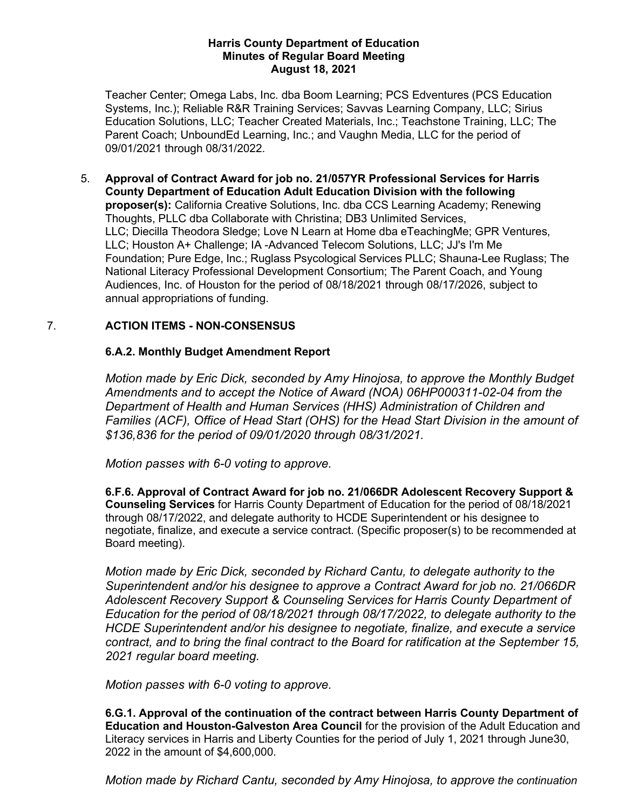09/01/2021 through 08/31/2022. Teacher Center; Omega Labs, Inc. dba Boom Learning; PCS Edventures (PCS Education Systems, Inc.); Reliable R&R Training Services; Savvas Learning Company, LLC; Sirius Education Solutions, LLC; Teacher Created Materials, Inc.; Teachstone Training, LLC; The Parent Coach; UnboundEd Learning, Inc.; and Vaughn Media, LLC for the period of

 **proposer(s):** California Creative Solutions, Inc. dba CCS Learning Academy; Renewing Thoughts, PLLC dba Collaborate with Christina; DB3 Unlimited Services, LLC; Diecilla Theodora Sledge; Love N Learn at Home dba eTeachingMe; GPR Ventures, LLC; Houston A+ Challenge; IA -Advanced Telecom Solutions, LLC; JJ's I'm Me Foundation; Pure Edge, Inc.; Ruglass Psycological Services PLLC; Shauna-Lee Ruglass; The Audiences, Inc. of Houston for the period of 08/18/2021 through 08/17/2026, subject to annual appropriations of funding. 5. **Approval of Contract Award for job no. 21/057YR Professional Services for Harris County Department of Education Adult Education Division with the following**  National Literacy Professional Development Consortium; The Parent Coach, and Young

# 7. **ACTION ITEMS - NON-CONSENSUS**

# **6.A.2. Monthly Budget Amendment Report**

 *Motion made by Eric Dick, seconded by Amy Hinojosa, to approve the Monthly Budget Families (ACF), Office of Head Start (OHS) for the Head Start Division in the amount of Amendments and to accept the Notice of Award (NOA) 06HP000311-02-04 from the Department of Health and Human Services (HHS) Administration of Children and \$136,836 for the period of 09/01/2020 through 08/31/2021.* 

*Motion passes with 6-0 voting to approve.* 

 **6.F.6. Approval of Contract Award for job no. 21/066DR Adolescent Recovery Support &**  negotiate, finalize, and execute a service contract. (Specific proposer(s) to be recommended at Board meeting). **Counseling Services** for Harris County Department of Education for the period of 08/18/2021 through 08/17/2022, and delegate authority to HCDE Superintendent or his designee to

 *Motion made by Eric Dick, seconded by Richard Cantu, to delegate authority to the Superintendent and/or his designee to approve a Contract Award for job no. 21/066DR Education for the period of 08/18/2021 through 08/17/2022, to delegate authority to the HCDE Superintendent and/or his designee to negotiate, finalize, and execute a service*  2021 regular board meeting. *Adolescent Recovery Support & Counseling Services for Harris County Department of contract, and to bring the final contract to the Board for ratification at the September 15,* 

## *Motion passes with 6-0 voting to approve.*

 **Education and Houston-Galveston Area Council** for the provision of the Adult Education and Literacy services in Harris and Liberty Counties for the period of July 1, 2021 through June30, 2022 in the amount of \$4,600,000. **6.G.1. Approval of the continuation of the contract between Harris County Department of** 

*Motion made by Richard Cantu, seconded by Amy Hinojosa, to approve the continuation*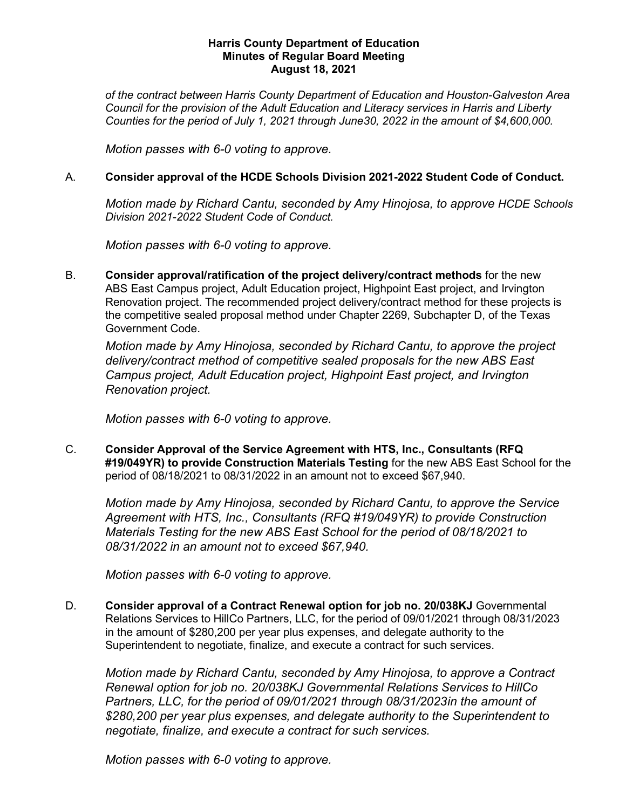*Council for the provision of the Adult Education and Literacy services in Harris and Liberty Counties for the period of July 1, 2021 through June30, 2022 in the amount of \$4,600,000. of the contract between Harris County Department of Education and Houston-Galveston Area* 

*Motion passes with 6-0 voting to approve.* 

# A. **Consider approval of the HCDE Schools Division 2021-2022 Student Code of Conduct.**

 *Motion made by Richard Cantu, seconded by Amy Hinojosa, to approve HCDE Schools Division 2021-2022 Student Code of Conduct.* 

*Motion passes with 6-0 voting to approve.* 

 Renovation project. The recommended project delivery/contract method for these projects is Government Code. B. **Consider approval/ratification of the project delivery/contract methods** for the new ABS East Campus project, Adult Education project, Highpoint East project, and Irvington the competitive sealed proposal method under Chapter 2269, Subchapter D, of the Texas

 *Renovation project. Motion made by Amy Hinojosa, seconded by Richard Cantu, to approve the project delivery/contract method of competitive sealed proposals for the new ABS East Campus project, Adult Education project, Highpoint East project, and Irvington* 

*Motion passes with 6-0 voting to approve.* 

 C. **Consider Approval of the Service Agreement with HTS, Inc., Consultants (RFQ**  period of 08/18/2021 to 08/31/2022 in an amount not to exceed \$67,940. **#19/049YR) to provide Construction Materials Testing** for the new ABS East School for the

 *Materials Testing for the new ABS East School for the period of 08/18/2021 to 08/31/2022 in an amount not to exceed \$67,940. Motion made by Amy Hinojosa, seconded by Richard Cantu, to approve the Service Agreement with HTS, Inc., Consultants (RFQ #19/049YR) to provide Construction* 

*Motion passes with 6-0 voting to approve.* 

 Relations Services to HillCo Partners, LLC, for the period of 09/01/2021 through 08/31/2023 Superintendent to negotiate, finalize, and execute a contract for such services. D. **Consider approval of a Contract Renewal option for job no. 20/038KJ** Governmental in the amount of \$280,200 per year plus expenses, and delegate authority to the

 *Renewal option for job no. 20/038KJ Governmental Relations Services to HillCo Partners, LLC, for the period of 09/01/2021 through 08/31/2023in the amount of \$280,200 per year plus expenses, and delegate authority to the Superintendent to negotiate, finalize, and execute a contract for such services. Motion made by Richard Cantu, seconded by Amy Hinojosa, to approve a Contract* 

*Motion passes with 6-0 voting to approve.*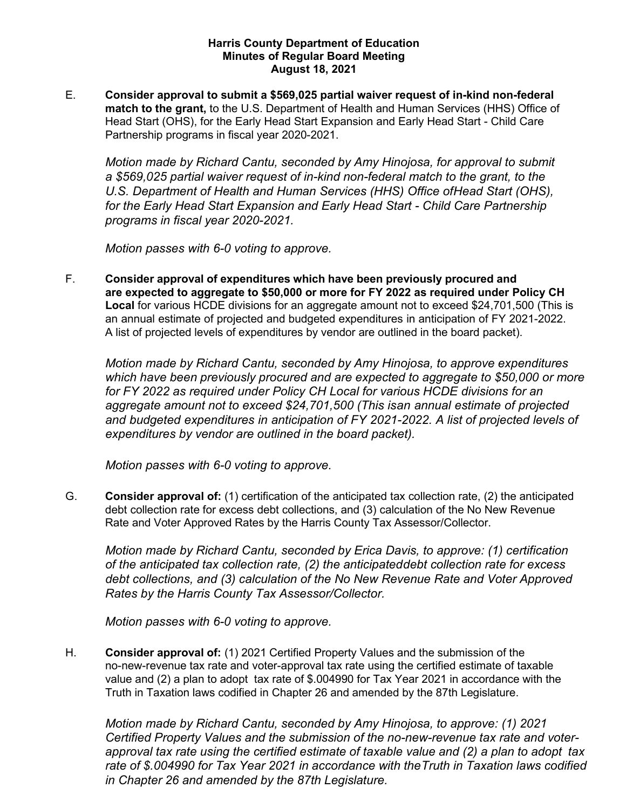**Consider approval to submit a \$569,025 partial waiver request of in-kind non-federal**  Head Start (OHS), for the Early Head Start Expansion and Early Head Start - Child Care Partnership programs in fiscal year 2020-2021. E. **match to the grant,** to the U.S. Department of Health and Human Services (HHS) Office of

 *for the Early Head Start Expansion and Early Head Start - Child Care Partnership programs in fiscal year 2020-2021. Motion made by Richard Cantu, seconded by Amy Hinojosa, for approval to submit a \$569,025 partial waiver request of in-kind non-federal match to the grant, to the U.S. Department of Health and Human Services (HHS) Office ofHead Start (OHS),* 

*Motion passes with 6-0 voting to approve.* 

 **Consider approval of expenditures which have been previously procured and**  an annual estimate of projected and budgeted expenditures in anticipation of FY 2021-2022. A list of projected levels of expenditures by vendor are outlined in the board packet). F. **are expected to aggregate to \$50,000 or more for FY 2022 as required under Policy CH Local** for various HCDE divisions for an aggregate amount not to exceed \$24,701,500 (This is

 *which have been previously procured and are expected to aggregate to \$50,000 or more aggregate amount not to exceed \$24,701,500 (This isan annual estimate of projected*  and budgeted expenditures in anticipation of FY 2021-2022. A list of projected levels of  *expenditures by vendor are outlined in the board packet). Motion made by Richard Cantu, seconded by Amy Hinojosa, to approve expenditures for FY 2022 as required under Policy CH Local for various HCDE divisions for an* 

*Motion passes with 6-0 voting to approve.* 

 debt collection rate for excess debt collections, and (3) calculation of the No New Revenue Rate and Voter Approved Rates by the Harris County Tax Assessor/Collector. G. **Consider approval of:** (1) certification of the anticipated tax collection rate, (2) the anticipated

 *debt collections, and (3) calculation of the No New Revenue Rate and Voter Approved Rates by the Harris County Tax Assessor/Collector. Motion made by Richard Cantu, seconded by Erica Davis, to approve: (1) certification of the anticipated tax collection rate, (2) the anticipateddebt collection rate for excess* 

*Motion passes with 6-0 voting to approve.* 

 **Consider approval of:** (1) 2021 Certified Property Values and the submission of the no-new-revenue tax rate and voter-approval tax rate using the certified estimate of taxable value and (2) a plan to adopt tax rate of \$.004990 for Tax Year 2021 in accordance with the Truth in Taxation laws codified in Chapter 26 and amended by the 87th Legislature. H.

 *Motion made by Richard Cantu, seconded by Amy Hinojosa, to approve: (1) 2021 Certified Property Values and the submission of the no-new-revenue tax rate and voter- approval tax rate using the certified estimate of taxable value and (2) a plan to adopt tax rate of \$.004990 for Tax Year 2021 in accordance with theTruth in Taxation laws codified in Chapter 26 and amended by the 87th Legislature.*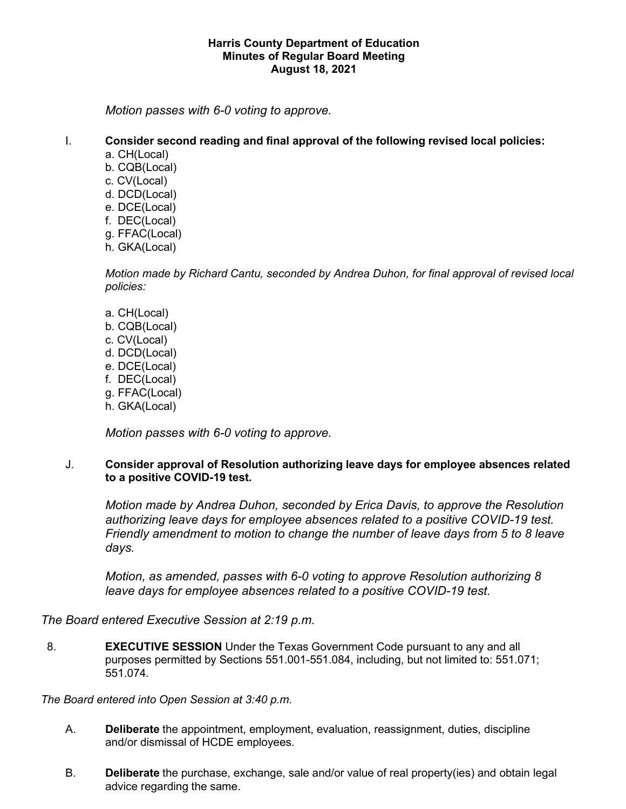*Motion passes with 6-0 voting to approve.* 

# I. **Consider second reading and final approval of the following revised local policies:**

- a. CH(Local)
- b. CQB(Local)
- c. CV(Local)
- d. DCD(Local)
- e. DCE(Local)
- f. DEC(Local)
- g. FFAC(Local)
- h. GKA(Local)

 *Motion made by Richard Cantu, seconded by Andrea Duhon, for final approval of revised local policies:* 

- a. CH(Local)
- b. CQB(Local)
- c. CV(Local)
- d. DCD(Local)
- e. DCE(Local)
- f. DEC(Local)
- g. FFAC(Local)
- h. GKA(Local)

*Motion passes with 6-0 voting to approve.* 

## **to a positive COVID-19 test.**  J. **Consider approval of Resolution authorizing leave days for employee absences related**

authorizing leave days for employee absences related to a positive COVID-19 test. *Motion made by Andrea Duhon, seconded by Erica Davis, to approve the Resolution Friendly amendment to motion to change the number of leave days from 5 to 8 leave days.* 

 *Motion, as amended, passes with 6-0 voting to approve Resolution authorizing 8 leave days for employee absences related to a positive COVID-19 test.* 

*The Board entered Executive Session at 2:19 p.m.* 

 purposes permitted by Sections 551.001-551.084, including, but not limited to: 551.071; 8. **EXECUTIVE SESSION** Under the Texas Government Code pursuant to any and all 551.074*.* 

*The Board entered into Open Session at 3:40 p.m.* 

- A. **Deliberate** the appointment, employment, evaluation, reassignment, duties, discipline and/or dismissal of HCDE employees.
- B. **Deliberate** the purchase, exchange, sale and/or value of real property(ies) and obtain legal advice regarding the same.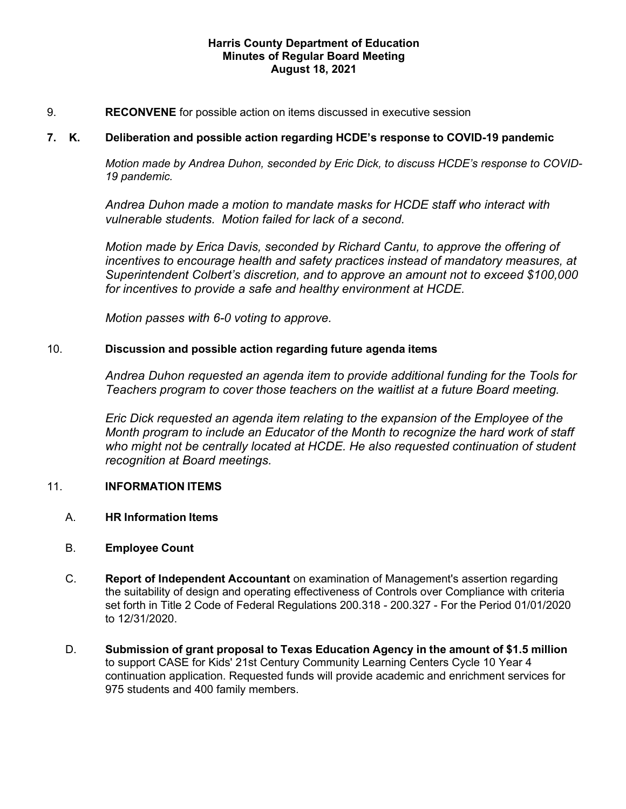# 9. **RECONVENE** for possible action on items discussed in executive session

#### 7. K. **7. K. Deliberation and possible action regarding HCDE's response to COVID-19 pandemic**

*Motion made by Andrea Duhon, seconded by Eric Dick, to discuss HCDE's response to COVID-19 pandemic.* 

 *vulnerable students. Motion failed for lack of a second. Andrea Duhon made a motion to mandate masks for HCDE staff who interact with* 

 *incentives to encourage health and safety practices instead of mandatory measures, at Superintendent Colbert's discretion, and to approve an amount not to exceed \$100,000 Motion made by Erica Davis, seconded by Richard Cantu, to approve the offering of for incentives to provide a safe and healthy environment at HCDE.* 

 *Motion passes with 6-0 voting to approve.* 

## 10. **Discussion and possible action regarding future agenda items**

 *Teachers program to cover those teachers on the waitlist at a future Board meeting. Andrea Duhon requested an agenda item to provide additional funding for the Tools for* 

 *Eric Dick requested an agenda item relating to the expansion of the Employee of the Month program to include an Educator of the Month to recognize the hard work of staff who might not be centrally located at HCDE. He also requested continuation of student recognition at Board meetings.* 

## 11. **INFORMATION ITEMS**

- A. **HR Information Items**
- B. **Employee Count**
- set forth in Title 2 Code of Federal Regulations 200.318 200.327 For the Period 01/01/2020 C. **Report of Independent Accountant** on examination of Management's assertion regarding the suitability of design and operating effectiveness of Controls over Compliance with criteria to 12/31/2020.
- D. **Submission of grant proposal to Texas Education Agency in the amount of \$1.5 million**  975 students and 400 family members. to support CASE for Kids' 21st Century Community Learning Centers Cycle 10 Year 4 continuation application. Requested funds will provide academic and enrichment services for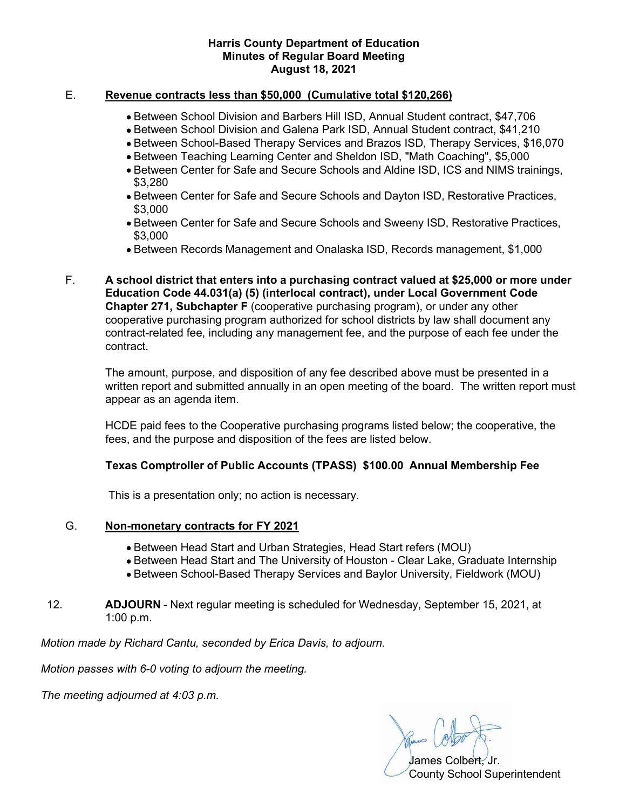# E. **Revenue contracts less than \$50,000 (Cumulative total \$120,266)**

- Between School Division and Barbers Hill ISD, Annual Student contract, \$47,706
- Between School Division and Galena Park ISD, Annual Student contract, \$41,210
- Between School-Based Therapy Services and Brazos ISD, Therapy Services, \$16,070
- Between Teaching Learning Center and Sheldon ISD, "Math Coaching", \$5,000
- • Between Center for Safe and Secure Schools and Aldine ISD, ICS and NIMS trainings, \$3,280
- • Between Center for Safe and Secure Schools and Dayton ISD, Restorative Practices, \$3,000
- • Between Center for Safe and Secure Schools and Sweeny ISD, Restorative Practices, \$3,000
- Between Records Management and Onalaska ISD, Records management, \$1,000
- F. **A school district that enters into a purchasing contract valued at \$25,000 or more under Chapter 271, Subchapter F** (cooperative purchasing program), or under any other **Education Code 44.031(a) (5) (interlocal contract), under Local Government Code**  cooperative purchasing program authorized for school districts by law shall document any contract-related fee, including any management fee, and the purpose of each fee under the contract.

 written report and submitted annually in an open meeting of the board. The written report must appear as an agenda item. The amount, purpose, and disposition of any fee described above must be presented in a

 HCDE paid fees to the Cooperative purchasing programs listed below; the cooperative, the fees, and the purpose and disposition of the fees are listed below.

## **Texas Comptroller of Public Accounts (TPASS) \$100.00 Annual Membership Fee**

This is a presentation only; no action is necessary.

# G. **Non-monetary contracts for FY 2021**

- Between Head Start and Urban Strategies, Head Start refers (MOU)
- Between Head Start and The University of Houston Clear Lake, Graduate Internship
- Between School-Based Therapy Services and Baylor University, Fieldwork (MOU)
- 12. **ADJOURN**  Next regular meeting is scheduled for Wednesday, September 15, 2021, at 1:00 p.m.

 *Motion made by Richard Cantu, seconded by Erica Davis, to adjourn.* 

*Motion passes with 6-0 voting to adjourn the meeting.* 

 *The meeting adjourned at 4:03 p.m.* 

James Colbert, Jr.

County School Superintendent